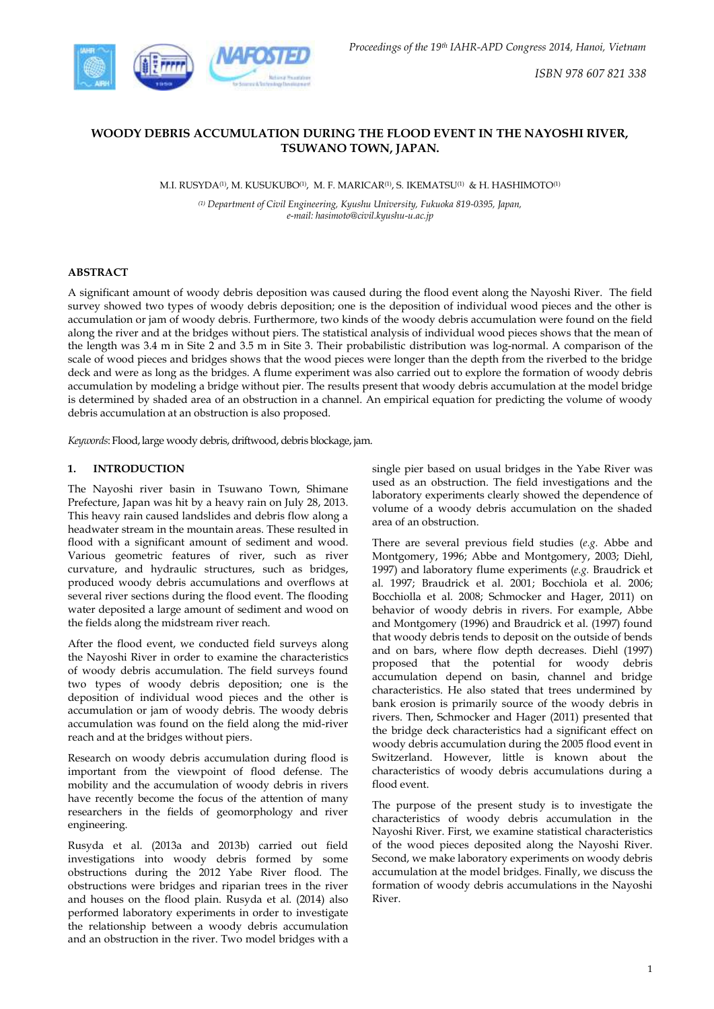

# **WOODY DEBRIS ACCUMULATION DURING THE FLOOD EVENT IN THE NAYOSHI RIVER, TSUWANO TOWN, JAPAN.**

M.I. RUSYDA(1), M. KUSUKUBO(1), M. F. MARICAR(1), S. IKEMATSU(1) & H. HASHIMOTO(1)

*(1) Department of Civil Engineering, Kyushu University, Fukuoka 819-0395, Japan, e-mail: hasimoto@civil.kyushu-u.ac.jp*

# **ABSTRACT**

A significant amount of woody debris deposition was caused during the flood event along the Nayoshi River. The field survey showed two types of woody debris deposition; one is the deposition of individual wood pieces and the other is accumulation or jam of woody debris. Furthermore, two kinds of the woody debris accumulation were found on the field along the river and at the bridges without piers. The statistical analysis of individual wood pieces shows that the mean of the length was 3.4 m in Site 2 and 3.5 m in Site 3. Their probabilistic distribution was log-normal. A comparison of the scale of wood pieces and bridges shows that the wood pieces were longer than the depth from the riverbed to the bridge deck and were as long as the bridges. A flume experiment was also carried out to explore the formation of woody debris accumulation by modeling a bridge without pier. The results present that woody debris accumulation at the model bridge is determined by shaded area of an obstruction in a channel. An empirical equation for predicting the volume of woody debris accumulation at an obstruction is also proposed.

*Keywords*: Flood, large woody debris, driftwood, debris blockage, jam.

# **1. INTRODUCTION**

The Nayoshi river basin in Tsuwano Town, Shimane Prefecture, Japan was hit by a heavy rain on July 28, 2013. This heavy rain caused landslides and debris flow along a headwater stream in the mountain areas. These resulted in flood with a significant amount of sediment and wood. Various geometric features of river, such as river curvature, and hydraulic structures, such as bridges, produced woody debris accumulations and overflows at several river sections during the flood event. The flooding water deposited a large amount of sediment and wood on the fields along the midstream river reach.

After the flood event, we conducted field surveys along the Nayoshi River in order to examine the characteristics of woody debris accumulation. The field surveys found two types of woody debris deposition; one is the deposition of individual wood pieces and the other is accumulation or jam of woody debris. The woody debris accumulation was found on the field along the mid-river reach and at the bridges without piers.

Research on woody debris accumulation during flood is important from the viewpoint of flood defense. The mobility and the accumulation of woody debris in rivers have recently become the focus of the attention of many researchers in the fields of geomorphology and river engineering.

Rusyda et al. (2013a and 2013b) carried out field investigations into woody debris formed by some obstructions during the 2012 Yabe River flood. The obstructions were bridges and riparian trees in the river and houses on the flood plain. Rusyda et al. (2014) also performed laboratory experiments in order to investigate the relationship between a woody debris accumulation and an obstruction in the river. Two model bridges with a

single pier based on usual bridges in the Yabe River was used as an obstruction. The field investigations and the laboratory experiments clearly showed the dependence of volume of a woody debris accumulation on the shaded area of an obstruction.

There are several previous field studies (*e.g.* Abbe and Montgomery, 1996; Abbe and Montgomery, 2003; Diehl, 1997) and laboratory flume experiments (*e.g.* Braudrick et al. 1997; Braudrick et al. 2001; Bocchiola et al. 2006; Bocchiolla et al. 2008; Schmocker and Hager, 2011) on behavior of woody debris in rivers. For example, Abbe and Montgomery (1996) and Braudrick et al. (1997) found that woody debris tends to deposit on the outside of bends and on bars, where flow depth decreases. Diehl (1997) proposed that the potential for woody debris accumulation depend on basin, channel and bridge characteristics. He also stated that trees undermined by bank erosion is primarily source of the woody debris in rivers. Then, Schmocker and Hager (2011) presented that the bridge deck characteristics had a significant effect on woody debris accumulation during the 2005 flood event in Switzerland. However, little is known about the characteristics of woody debris accumulations during a flood event.

The purpose of the present study is to investigate the characteristics of woody debris accumulation in the Nayoshi River. First, we examine statistical characteristics of the wood pieces deposited along the Nayoshi River. Second, we make laboratory experiments on woody debris accumulation at the model bridges. Finally, we discuss the formation of woody debris accumulations in the Nayoshi River.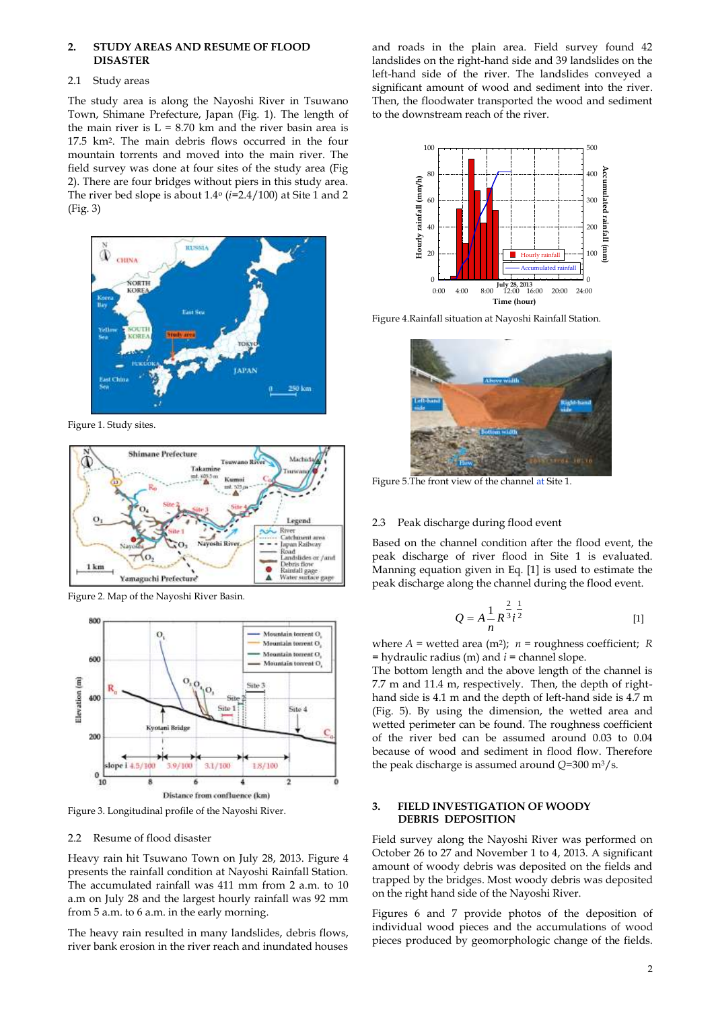#### **2. STUDY AREAS AND RESUME OF FLOOD DISASTER**

#### 2.1 Study areas

The study area is along the Nayoshi River in Tsuwano Town, Shimane Prefecture, Japan (Fig. 1). The length of the main river is  $L = 8.70$  km and the river basin area is 17.5 km2. The main debris flows occurred in the four mountain torrents and moved into the main river. The field survey was done at four sites of the study area (Fig 2). There are four bridges without piers in this study area. The river bed slope is about 1.4<sup>o</sup> (*i*=2.4/100) at Site 1 and 2 (Fig. 3)



Figure 1. Study sites.



Figure 2. Map of the Nayoshi River Basin.



Figure 3. Longitudinal profile of the Nayoshi River.

# 2.2 Resume of flood disaster

Heavy rain hit Tsuwano Town on July 28, 2013. Figure 4 presents the rainfall condition at Nayoshi Rainfall Station. The accumulated rainfall was 411 mm from 2 a.m. to 10 a.m on July 28 and the largest hourly rainfall was 92 mm from 5 a.m. to 6 a.m. in the early morning.

The heavy rain resulted in many landslides, debris flows, river bank erosion in the river reach and inundated houses and roads in the plain area. Field survey found 42 landslides on the right-hand side and 39 landslides on the left-hand side of the river. The landslides conveyed a significant amount of wood and sediment into the river. Then, the floodwater transported the wood and sediment to the downstream reach of the river.



Figure 4.Rainfall situation at Nayoshi Rainfall Station.



Figure 5.The front view of the channel at Site 1.

# 2.3 Peak discharge during flood event

Based on the channel condition after the flood event, the peak discharge of river flood in Site 1 is evaluated. Manning equation given in Eq. [1] is used to estimate the peak discharge along the channel during the flood event.

$$
Q = A \frac{1}{n} R^{\frac{2}{3}} i^{\frac{1}{2}}
$$
 [1]

where  $A =$  wetted area (m<sup>2</sup>);  $n =$  roughness coefficient;  $R$ = hydraulic radius (m) and *i* = channel slope.

The bottom length and the above length of the channel is 7.7 m and 11.4 m, respectively. Then, the depth of righthand side is 4.1 m and the depth of left-hand side is 4.7 m (Fig. 5). By using the dimension, the wetted area and wetted perimeter can be found. The roughness coefficient of the river bed can be assumed around 0.03 to 0.04 because of wood and sediment in flood flow. Therefore the peak discharge is assumed around *Q*=300 m3/s.

# **3. FIELD INVESTIGATION OF WOODY DEBRIS DEPOSITION**

Field survey along the Nayoshi River was performed on October 26 to 27 and November 1 to 4, 2013. A significant amount of woody debris was deposited on the fields and trapped by the bridges. Most woody debris was deposited on the right hand side of the Nayoshi River.

Figures 6 and 7 provide photos of the deposition of individual wood pieces and the accumulations of wood pieces produced by geomorphologic change of the fields.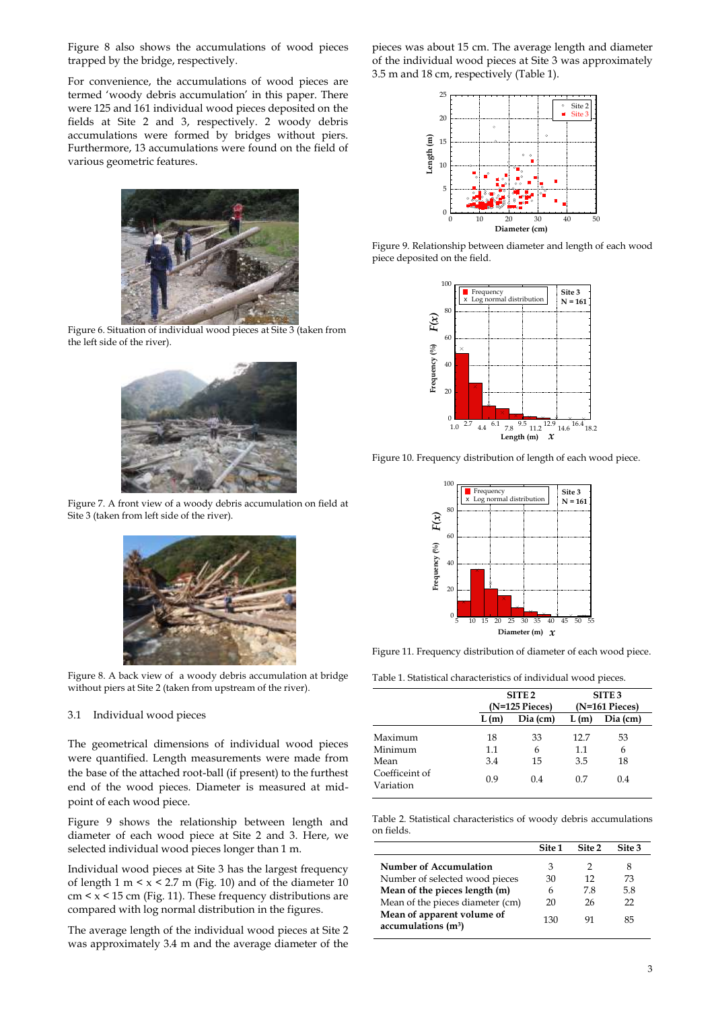Figure 8 also shows the accumulations of wood pieces trapped by the bridge, respectively.

For convenience, the accumulations of wood pieces are termed 'woody debris accumulation' in this paper. There were 125 and 161 individual wood pieces deposited on the fields at Site 2 and 3, respectively. 2 woody debris accumulations were formed by bridges without piers. Furthermore, 13 accumulations were found on the field of various geometric features.



Figure 6. Situation of individual wood pieces at Site 3 (taken from the left side of the river).



Figure 7. A front view of a woody debris accumulation on field at Site 3 (taken from left side of the river).



Figure 8. A back view of a woody debris accumulation at bridge without piers at Site 2 (taken from upstream of the river).

# 3.1 Individual wood pieces

The geometrical dimensions of individual wood pieces were quantified. Length measurements were made from the base of the attached root-ball (if present) to the furthest end of the wood pieces. Diameter is measured at midpoint of each wood piece.

Figure 9 shows the relationship between length and diameter of each wood piece at Site 2 and 3. Here, we selected individual wood pieces longer than 1 m.

Individual wood pieces at Site 3 has the largest frequency of length 1 m  $\leq x \leq 2.7$  m (Fig. 10) and of the diameter 10  $cm \leq x \leq 15$  cm (Fig. 11). These frequency distributions are compared with log normal distribution in the figures.

The average length of the individual wood pieces at Site 2 was approximately 3.4 m and the average diameter of the pieces was about 15 cm. The average length and diameter of the individual wood pieces at Site 3 was approximately 3.5 m and 18 cm, respectively (Table 1).



Figure 9. Relationship between diameter and length of each wood piece deposited on the field.



Figure 10. Frequency distribution of length of each wood piece.



Figure 11. Frequency distribution of diameter of each wood piece.

Table 1. Statistical characteristics of individual wood pieces.

|                             | SITE <sub>2</sub><br>$(N=125$ Pieces $)$ |          |                 | SITE <sub>3</sub><br>$(N=161$ Pieces) |
|-----------------------------|------------------------------------------|----------|-----------------|---------------------------------------|
|                             | L(m)                                     | Dia (cm) | L(m)            | Dia (cm)                              |
| Maximum<br>Minimum          | 18<br>$1.1\,$                            | 33<br>6  | 12.7<br>$1.1\,$ | 53<br>6                               |
| Mean                        | 3.4                                      | 15       | 3.5             | 18                                    |
| Coefficeint of<br>Variation | 0.9                                      | 0.4      | 07              | 0.4                                   |

Table 2. Statistical characteristics of woody debris accumulations on fields.

|                                                                 | Site 1 | Site 2 | Site 3 |
|-----------------------------------------------------------------|--------|--------|--------|
| Number of Accumulation                                          | З      |        |        |
| Number of selected wood pieces                                  | 30     | 12     | 73     |
| Mean of the pieces length (m)                                   | 6      | 78     | 5.8    |
| Mean of the pieces diameter (cm)                                | 20     | 26     | 22     |
| Mean of apparent volume of<br>$accumulations$ (m <sup>3</sup> ) | 130    | 91     | 85     |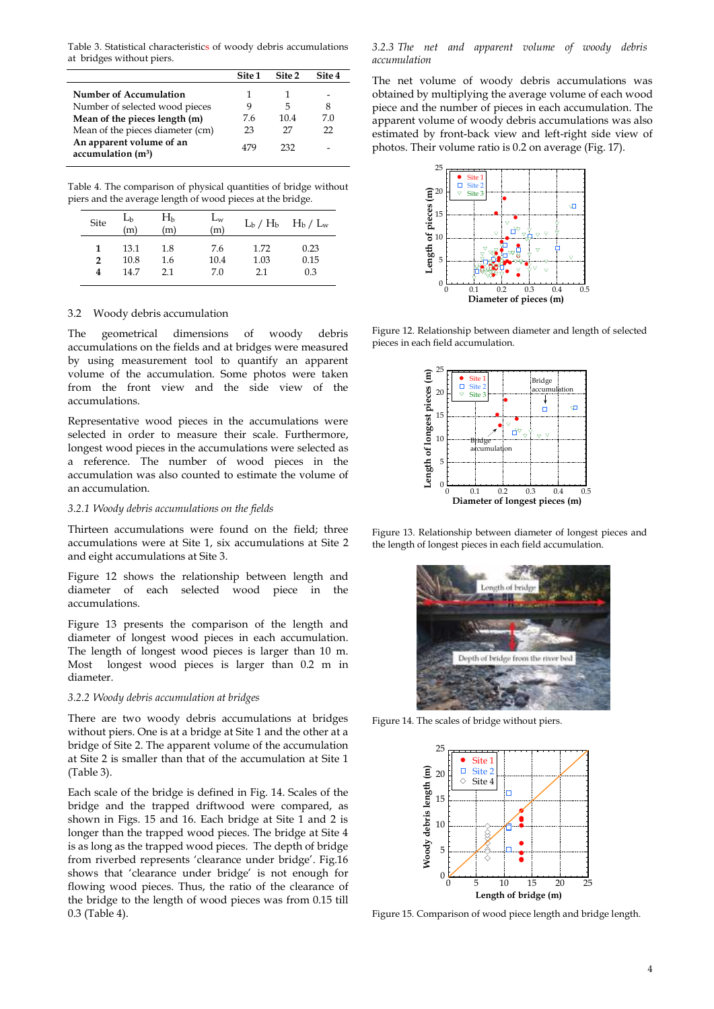Table 3. Statistical characteristics of woody debris accumulations at bridges without piers.

|                                                           | Site <sub>1</sub> | Site 2 | Site 4 |
|-----------------------------------------------------------|-------------------|--------|--------|
| Number of Accumulation                                    |                   |        |        |
| Number of selected wood pieces                            | 9                 | 5      | 8      |
| Mean of the pieces length (m)                             | 76                | 104    | 70     |
| Mean of the pieces diameter (cm)                          | 23                | 27     | フフ     |
| An apparent volume of an<br>accumulation(m <sup>3</sup> ) | 479               | 232    |        |

Table 4. The comparison of physical quantities of bridge without piers and the average length of wood pieces at the bridge.

| Site | $L_{b}$<br>'n | $H_b$<br>(m) | $L_W$<br>(m) |      | $L_b / H_b$ $H_b / L_w$ |
|------|---------------|--------------|--------------|------|-------------------------|
| 1    | 13.1          | 1.8          | 7.6          | 1.72 | 0.23                    |
| 2    | 10.8          | 1.6          | 10.4         | 1.03 | 0.15                    |
| 4    | 147           | 2.1          | 7.0          | 21   | 0.3                     |

### 3.2 Woody debris accumulation

The geometrical dimensions of woody debris accumulations on the fields and at bridges were measured by using measurement tool to quantify an apparent volume of the accumulation. Some photos were taken from the front view and the side view of the accumulations.

Representative wood pieces in the accumulations were selected in order to measure their scale. Furthermore, longest wood pieces in the accumulations were selected as a reference. The number of wood pieces in the accumulation was also counted to estimate the volume of an accumulation.

## *3.2.1 Woody debris accumulations on the fields*

Thirteen accumulations were found on the field; three accumulations were at Site 1, six accumulations at Site 2 and eight accumulations at Site 3.

Figure 12 shows the relationship between length and diameter of each selected wood piece in the accumulations.

Figure 13 presents the comparison of the length and diameter of longest wood pieces in each accumulation. The length of longest wood pieces is larger than 10 m. Most longest wood pieces is larger than 0.2 m in diameter.

#### *3.2.2 Woody debris accumulation at bridges*

There are two woody debris accumulations at bridges without piers. One is at a bridge at Site 1 and the other at a bridge of Site 2. The apparent volume of the accumulation at Site 2 is smaller than that of the accumulation at Site 1 (Table 3).

Each scale of the bridge is defined in Fig. 14. Scales of the bridge and the trapped driftwood were compared, as shown in Figs. 15 and 16. Each bridge at Site 1 and 2 is longer than the trapped wood pieces. The bridge at Site 4 is as long as the trapped wood pieces. The depth of bridge from riverbed represents 'clearance under bridge'. Fig.16 shows that 'clearance under bridge' is not enough for flowing wood pieces. Thus, the ratio of the clearance of the bridge to the length of wood pieces was from 0.15 till 0.3 (Table 4).

*3.2.3 The net and apparent volume of woody debris accumulation*

The net volume of woody debris accumulations was obtained by multiplying the average volume of each wood piece and the number of pieces in each accumulation. The apparent volume of woody debris accumulations was also estimated by front-back view and left-right side view of photos. Their volume ratio is 0.2 on average (Fig. 17).



Figure 12. Relationship between diameter and length of selected pieces in each field accumulation.



Figure 13. Relationship between diameter of longest pieces and the length of longest pieces in each field accumulation.



Figure 14. The scales of bridge without piers.



Figure 15. Comparison of wood piece length and bridge length.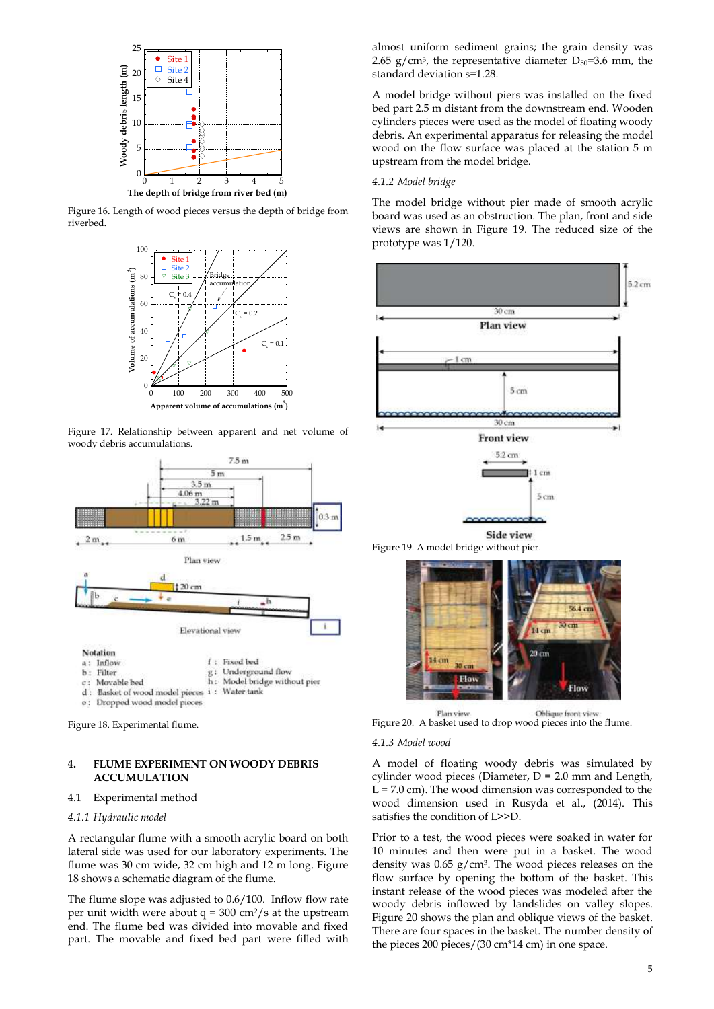

Figure 16. Length of wood pieces versus the depth of bridge from riverbed.



Figure 17. Relationship between apparent and net volume of woody debris accumulations.



Figure 18. Experimental flume.

# **4. FLUME EXPERIMENT ON WOODY DEBRIS ACCUMULATION**

### 4.1 Experimental method

# *4.1.1 Hydraulic model*

A rectangular flume with a smooth acrylic board on both lateral side was used for our laboratory experiments. The flume was 30 cm wide, 32 cm high and 12 m long. Figure 18 shows a schematic diagram of the flume.

The flume slope was adjusted to 0.6/100. Inflow flow rate per unit width were about  $q = 300 \text{ cm}^2/\text{s}$  at the upstream end. The flume bed was divided into movable and fixed part. The movable and fixed bed part were filled with

almost uniform sediment grains; the grain density was 2.65 g/cm<sup>3</sup>, the representative diameter  $D_{50}=3.6$  mm, the standard deviation s=1.28.

A model bridge without piers was installed on the fixed bed part 2.5 m distant from the downstream end. Wooden cylinders pieces were used as the model of floating woody debris. An experimental apparatus for releasing the model wood on the flow surface was placed at the station 5 m upstream from the model bridge.

### *4.1.2 Model bridge*

The model bridge without pier made of smooth acrylic board was used as an obstruction. The plan, front and side views are shown in Figure 19. The reduced size of the prototype was 1/120.





Oblique front view Plan view Figure 20. A basket used to drop wood pieces into the flume.

#### *4.1.3 Model wood*

A model of floating woody debris was simulated by cylinder wood pieces (Diameter,  $D = 2.0$  mm and Length,  $L = 7.0$  cm). The wood dimension was corresponded to the wood dimension used in Rusyda et al., (2014). This satisfies the condition of L>>D.

Prior to a test, the wood pieces were soaked in water for 10 minutes and then were put in a basket. The wood density was 0.65 g/cm3. The wood pieces releases on the flow surface by opening the bottom of the basket. This instant release of the wood pieces was modeled after the woody debris inflowed by landslides on valley slopes. Figure 20 shows the plan and oblique views of the basket. There are four spaces in the basket. The number density of the pieces 200 pieces/(30 cm\*14 cm) in one space.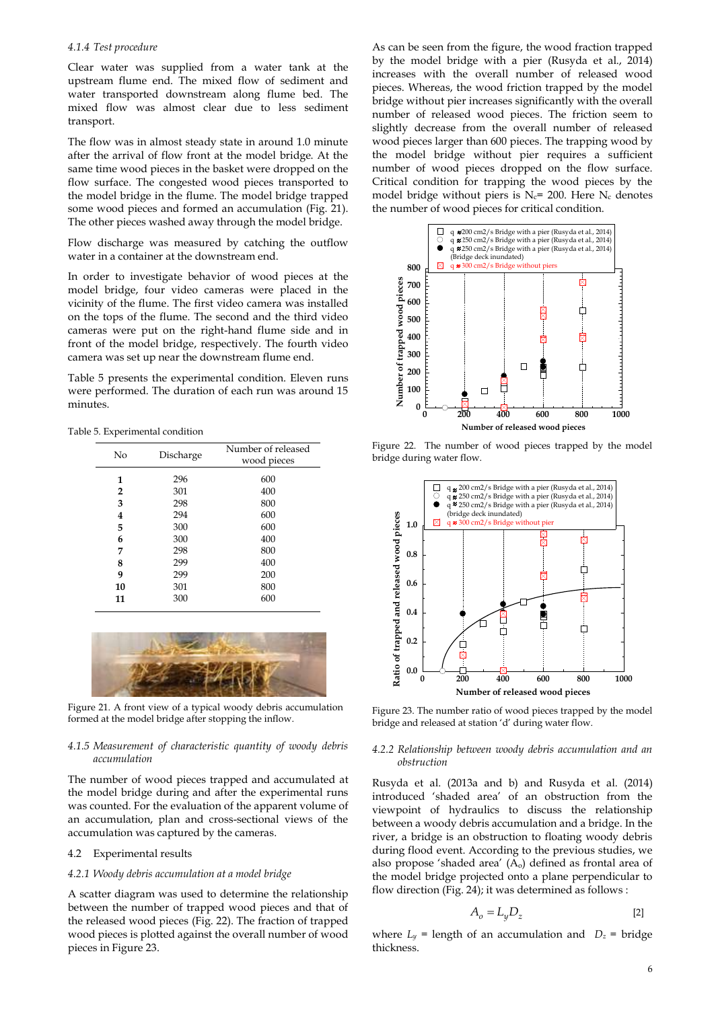### *4.1.4 Test procedure*

Clear water was supplied from a water tank at the upstream flume end. The mixed flow of sediment and water transported downstream along flume bed. The mixed flow was almost clear due to less sediment transport.

The flow was in almost steady state in around 1.0 minute after the arrival of flow front at the model bridge. At the same time wood pieces in the basket were dropped on the flow surface. The congested wood pieces transported to the model bridge in the flume. The model bridge trapped some wood pieces and formed an accumulation (Fig. 21). The other pieces washed away through the model bridge.

Flow discharge was measured by catching the outflow water in a container at the downstream end.

In order to investigate behavior of wood pieces at the model bridge, four video cameras were placed in the vicinity of the flume. The first video camera was installed on the tops of the flume. The second and the third video cameras were put on the right-hand flume side and in front of the model bridge, respectively. The fourth video camera was set up near the downstream flume end.

Table 5 presents the experimental condition. Eleven runs were performed. The duration of each run was around 15 minutes.

Table 5. Experimental condition

| No             | Discharge | Number of released<br>wood pieces |  |
|----------------|-----------|-----------------------------------|--|
| 1              | 296       | 600                               |  |
| $\overline{2}$ | 301       | 400                               |  |
| 3              | 298       | 800                               |  |
| 4              | 294       | 600                               |  |
| 5              | 300       | 600                               |  |
| 6              | 300       | 400                               |  |
| 7              | 298       | 800                               |  |
| 8              | 299       | 400                               |  |
| 9              | 299       | 200                               |  |
| 10             | 301       | 800                               |  |
| 11             | 300       | 600                               |  |



Figure 21. A front view of a typical woody debris accumulation formed at the model bridge after stopping the inflow.

#### *4.1.5 Measurement of characteristic quantity of woody debris accumulation*

The number of wood pieces trapped and accumulated at the model bridge during and after the experimental runs was counted. For the evaluation of the apparent volume of an accumulation, plan and cross-sectional views of the accumulation was captured by the cameras.

#### 4.2 Experimental results

# *4.2.1 Woody debris accumulation at a model bridge*

A scatter diagram was used to determine the relationship between the number of trapped wood pieces and that of the released wood pieces (Fig. 22). The fraction of trapped wood pieces is plotted against the overall number of wood pieces in Figure 23.

As can be seen from the figure, the wood fraction trapped by the model bridge with a pier (Rusyda et al., 2014) increases with the overall number of released wood pieces. Whereas, the wood friction trapped by the model bridge without pier increases significantly with the overall number of released wood pieces. The friction seem to slightly decrease from the overall number of released wood pieces larger than 600 pieces. The trapping wood by the model bridge without pier requires a sufficient number of wood pieces dropped on the flow surface. Critical condition for trapping the wood pieces by the model bridge without piers is  $N_c$ = 200. Here  $N_c$  denotes the number of wood pieces for critical condition.



Figure 22. The number of wood pieces trapped by the model bridge during water flow.



Figure 23. The number ratio of wood pieces trapped by the model bridge and released at station 'd' during water flow.

#### *4.2.2 Relationship between woody debris accumulation and an obstruction*

Rusyda et al. (2013a and b) and Rusyda et al. (2014) introduced 'shaded area' of an obstruction from the viewpoint of hydraulics to discuss the relationship between a woody debris accumulation and a bridge. In the river, a bridge is an obstruction to floating woody debris during flood event. According to the previous studies, we also propose 'shaded area'  $(A<sub>o</sub>)$  defined as frontal area of the model bridge projected onto a plane perpendicular to flow direction (Fig. 24); it was determined as follows :

$$
A_o = L_y D_z \tag{2}
$$

where  $L_y$  = length of an accumulation and  $D_z$  = bridge thickness.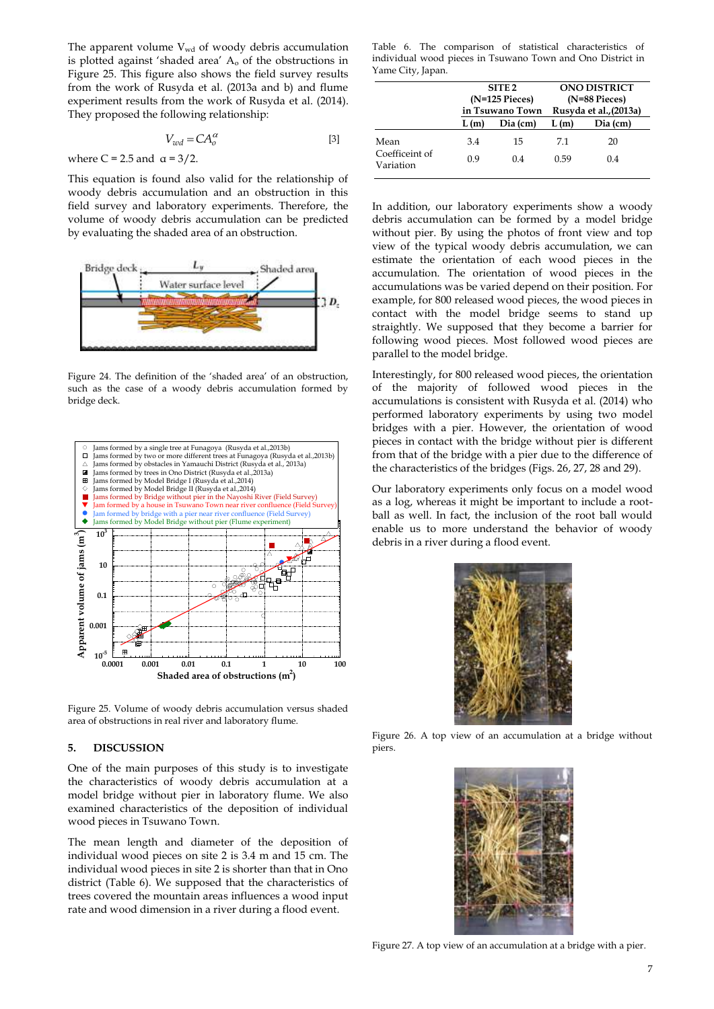The apparent volume  $V_{wd}$  of woody debris accumulation is plotted against 'shaded area' A<sup>o</sup> of the obstructions in Figure 25. This figure also shows the field survey results from the work of Rusyda et al. (2013a and b) and flume experiment results from the work of Rusyda et al. (2014). They proposed the following relationship:

$$
V_{wd} = CA_o^{\alpha} \tag{3}
$$

where C = 2.5 and  $\alpha$  = 3/2.

This equation is found also valid for the relationship of woody debris accumulation and an obstruction in this field survey and laboratory experiments. Therefore, the volume of woody debris accumulation can be predicted by evaluating the shaded area of an obstruction.



Figure 24. The definition of the 'shaded area' of an obstruction, such as the case of a woody debris accumulation formed by bridge deck.



Figure 25. Volume of woody debris accumulation versus shaded area of obstructions in real river and laboratory flume.

#### **5. DISCUSSION**

One of the main purposes of this study is to investigate the characteristics of woody debris accumulation at a model bridge without pier in laboratory flume. We also examined characteristics of the deposition of individual wood pieces in Tsuwano Town.

The mean length and diameter of the deposition of individual wood pieces on site 2 is 3.4 m and 15 cm. The individual wood pieces in site 2 is shorter than that in Ono district (Table 6). We supposed that the characteristics of trees covered the mountain areas influences a wood input rate and wood dimension in a river during a flood event.

Table 6. The comparison of statistical characteristics of individual wood pieces in Tsuwano Town and Ono District in Yame City, Japan.

|                             | SITE <sub>2</sub><br>$(N=125$ Pieces)<br>in Tsuwano Town |          | <b>ONO DISTRICT</b><br>(N=88 Pieces) |          |  |
|-----------------------------|----------------------------------------------------------|----------|--------------------------------------|----------|--|
|                             |                                                          |          |                                      |          |  |
|                             |                                                          |          | Rusyda et al., (2013a)               |          |  |
|                             | L(m)                                                     | Dia (cm) | L(m)                                 | Dia (cm) |  |
| Mean                        | 3.4                                                      | 15       | 71                                   | 20       |  |
| Coefficeint of<br>Variation | 0.9                                                      | 04       | 0.59                                 | 0.4      |  |

In addition, our laboratory experiments show a woody debris accumulation can be formed by a model bridge without pier. By using the photos of front view and top view of the typical woody debris accumulation, we can estimate the orientation of each wood pieces in the accumulation. The orientation of wood pieces in the accumulations was be varied depend on their position. For example, for 800 released wood pieces, the wood pieces in contact with the model bridge seems to stand up straightly. We supposed that they become a barrier for following wood pieces. Most followed wood pieces are parallel to the model bridge.

Interestingly, for 800 released wood pieces, the orientation of the majority of followed wood pieces in the accumulations is consistent with Rusyda et al. (2014) who performed laboratory experiments by using two model bridges with a pier. However, the orientation of wood pieces in contact with the bridge without pier is different from that of the bridge with a pier due to the difference of the characteristics of the bridges (Figs. 26, 27, 28 and 29).

Our laboratory experiments only focus on a model wood as a log, whereas it might be important to include a rootball as well. In fact, the inclusion of the root ball would enable us to more understand the behavior of woody debris in a river during a flood event.



Figure 26. A top view of an accumulation at a bridge without piers.



Figure 27. A top view of an accumulation at a bridge with a pier.